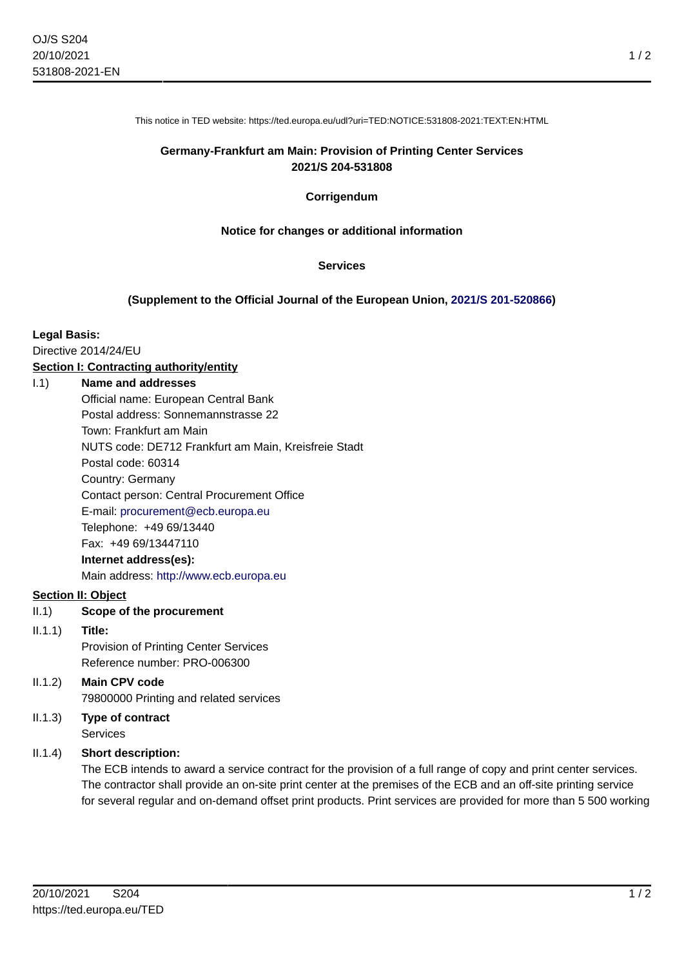This notice in TED website: https://ted.europa.eu/udl?uri=TED:NOTICE:531808-2021:TEXT:EN:HTML

# **Germany-Frankfurt am Main: Provision of Printing Center Services 2021/S 204-531808**

## **Corrigendum**

## **Notice for changes or additional information**

#### **Services**

## **(Supplement to the Official Journal of the European Union, [2021/S 201-520866\)](https://ted.europa.eu/udl?uri=TED:NOTICE:520866-2021:TEXT:EN:HTML)**

#### **Legal Basis:**

Directive 2014/24/EU

## **Section I: Contracting authority/entity**

### I.1) **Name and addresses**

Official name: European Central Bank Postal address: Sonnemannstrasse 22 Town: Frankfurt am Main NUTS code: DE712 Frankfurt am Main, Kreisfreie Stadt Postal code: 60314 Country: Germany Contact person: Central Procurement Office E-mail: [procurement@ecb.europa.eu](mailto:procurement@ecb.europa.eu) Telephone: +49 69/13440 Fax: +49 69/13447110 **Internet address(es):**

Main address:<http://www.ecb.europa.eu>

### **Section II: Object**

# II.1) **Scope of the procurement**

#### II.1.1) **Title:**

Provision of Printing Center Services Reference number: PRO-006300

# II.1.2) **Main CPV code** 79800000 Printing and related services

# II.1.3) **Type of contract** Services

## II.1.4) **Short description:**

The ECB intends to award a service contract for the provision of a full range of copy and print center services. The contractor shall provide an on-site print center at the premises of the ECB and an off-site printing service for several regular and on-demand offset print products. Print services are provided for more than 5 500 working